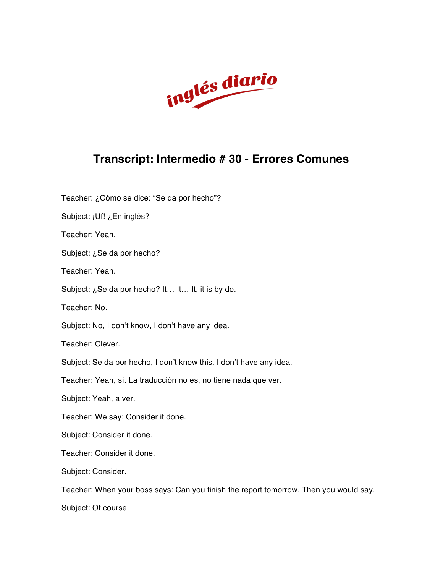

## **Transcript: Intermedio # 30 - Errores Comunes**

Teacher: ¿Cómo se dice: "Se da por hecho"? Subject: ¡Uf! ¿En inglés? Teacher: Yeah. Subject: ¿Se da por hecho? Teacher: Yeah. Subject: ¿Se da por hecho? It… It… It, it is by do. Teacher: No. Subject: No, I don't know, I don't have any idea. Teacher: Clever. Subject: Se da por hecho, I don't know this. I don't have any idea. Teacher: Yeah, sí. La traducción no es, no tiene nada que ver. Subject: Yeah, a ver. Teacher: We say: Consider it done. Subject: Consider it done. Teacher: Consider it done. Subject: Consider. Teacher: When your boss says: Can you finish the report tomorrow. Then you would say. Subject: Of course.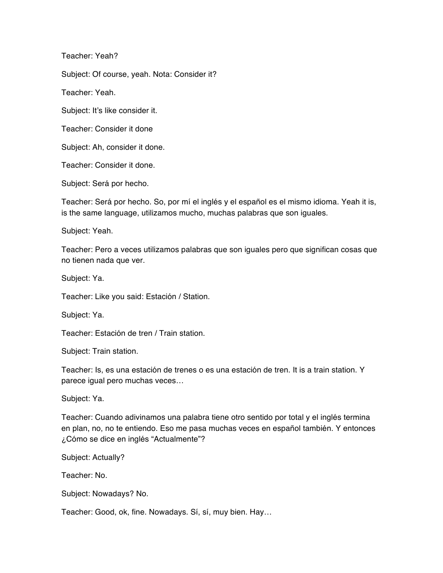Teacher: Yeah?

Subject: Of course, yeah. Nota: Consider it?

Teacher: Yeah.

Subject: It's like consider it.

Teacher: Consider it done

Subject: Ah, consider it done.

Teacher: Consider it done.

Subject: Será por hecho.

Teacher: Será por hecho. So, por mí el inglés y el español es el mismo idioma. Yeah it is, is the same language, utilizamos mucho, muchas palabras que son iguales.

Subject: Yeah.

Teacher: Pero a veces utilizamos palabras que son iguales pero que significan cosas que no tienen nada que ver.

Subject: Ya.

Teacher: Like you said: Estación / Station.

Subject: Ya.

Teacher: Estación de tren / Train station.

Subject: Train station.

Teacher: Is, es una estación de trenes o es una estación de tren. It is a train station. Y parece igual pero muchas veces…

Subject: Ya.

Teacher: Cuando adivinamos una palabra tiene otro sentido por total y el inglés termina en plan, no, no te entiendo. Eso me pasa muchas veces en español también. Y entonces ¿Cómo se dice en inglés "Actualmente"?

Subject: Actually?

Teacher: No.

Subject: Nowadays? No.

Teacher: Good, ok, fine. Nowadays. Sí, sí, muy bien. Hay…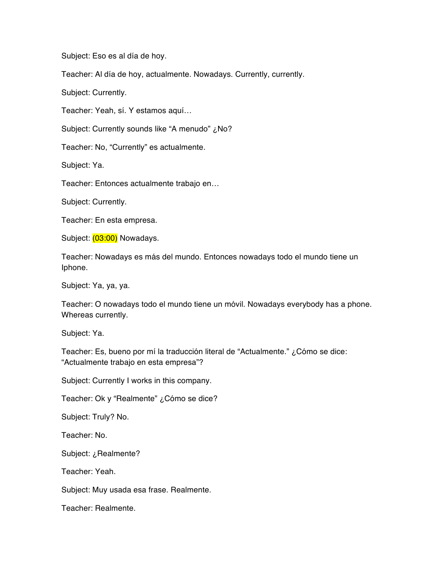Subject: Eso es al día de hoy.

Teacher: Al día de hoy, actualmente. Nowadays. Currently, currently.

Subject: Currently.

Teacher: Yeah, sí. Y estamos aquí…

Subject: Currently sounds like "A menudo" ¿No?

Teacher: No, "Currently" es actualmente.

Subject: Ya.

Teacher: Entonces actualmente trabajo en…

Subject: Currently.

Teacher: En esta empresa.

Subject: (03:00) Nowadays.

Teacher: Nowadays es más del mundo. Entonces nowadays todo el mundo tiene un Iphone.

Subject: Ya, ya, ya.

Teacher: O nowadays todo el mundo tiene un móvil. Nowadays everybody has a phone. Whereas currently.

Subject: Ya.

Teacher: Es, bueno por mí la traducción literal de "Actualmente." ¿Cómo se dice: "Actualmente trabajo en esta empresa"?

Subject: Currently I works in this company.

Teacher: Ok y "Realmente" ¿Cómo se dice?

Subject: Truly? No.

Teacher: No.

Subject: ¿Realmente?

Teacher: Yeah.

Subject: Muy usada esa frase. Realmente.

Teacher: Realmente.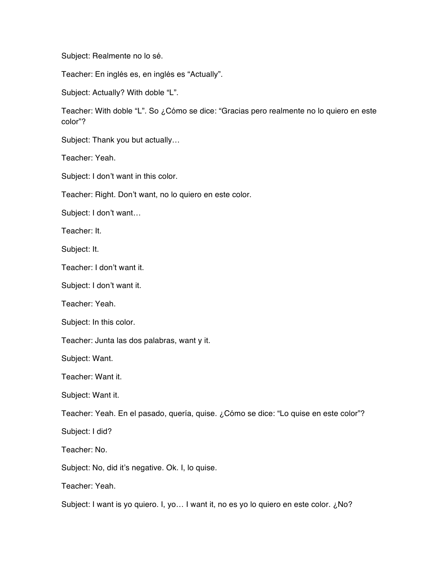Subject: Realmente no lo sé.

Teacher: En inglés es, en inglés es "Actually".

Subject: Actually? With doble "L".

Teacher: With doble "L". So ¿Cómo se dice: "Gracias pero realmente no lo quiero en este color"?

Subject: Thank you but actually…

Teacher: Yeah.

Subject: I don't want in this color.

Teacher: Right. Don't want, no lo quiero en este color.

Subject: I don't want…

Teacher: It.

Subject: It.

Teacher: I don't want it.

Subject: I don't want it.

Teacher: Yeah.

Subject: In this color.

Teacher: Junta las dos palabras, want y it.

Subject: Want.

Teacher: Want it.

Subject: Want it.

Teacher: Yeah. En el pasado, quería, quise. ¿Cómo se dice: "Lo quise en este color"?

Subject: I did?

Teacher: No.

Subject: No, did it's negative. Ok. I, lo quise.

Teacher: Yeah.

Subject: I want is yo quiero. I, yo... I want it, no es yo lo quiero en este color. ¿No?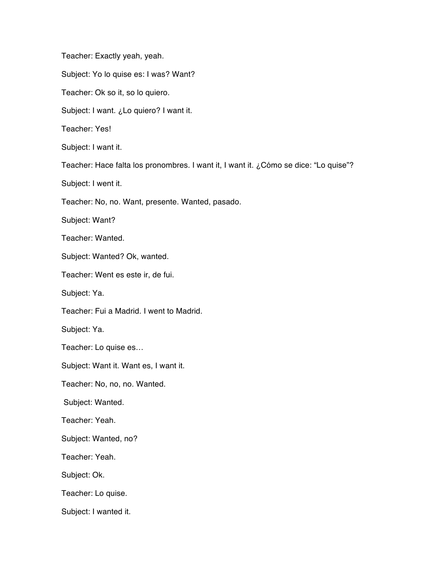Teacher: Exactly yeah, yeah. Subject: Yo lo quise es: I was? Want? Teacher: Ok so it, so lo quiero. Subject: I want. ¿Lo quiero? I want it. Teacher: Yes! Subject: I want it. Teacher: Hace falta los pronombres. I want it, I want it. ¿Cómo se dice: "Lo quise"? Subject: I went it. Teacher: No, no. Want, presente. Wanted, pasado. Subject: Want? Teacher: Wanted. Subject: Wanted? Ok, wanted. Teacher: Went es este ir, de fui. Subject: Ya. Teacher: Fui a Madrid. I went to Madrid. Subject: Ya. Teacher: Lo quise es… Subject: Want it. Want es, I want it. Teacher: No, no, no. Wanted. Subject: Wanted. Teacher: Yeah. Subject: Wanted, no? Teacher: Yeah. Subject: Ok. Teacher: Lo quise. Subject: I wanted it.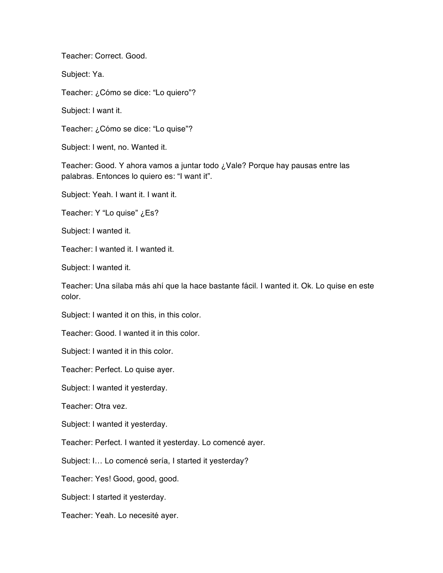Teacher: Correct. Good.

Subject: Ya.

Teacher: ¿Cómo se dice: "Lo quiero"?

Subject: I want it.

Teacher: ¿Cómo se dice: "Lo quise"?

Subject: I went, no. Wanted it.

Teacher: Good. Y ahora vamos a juntar todo ¿Vale? Porque hay pausas entre las palabras. Entonces lo quiero es: "I want it".

Subject: Yeah. I want it. I want it.

Teacher: Y "Lo quise" ¿Es?

Subject: I wanted it.

Teacher: I wanted it. I wanted it.

Subject: I wanted it.

Teacher: Una sílaba más ahí que la hace bastante fácil. I wanted it. Ok. Lo quise en este color.

Subject: I wanted it on this, in this color.

Teacher: Good. I wanted it in this color.

Subject: I wanted it in this color.

Teacher: Perfect. Lo quise ayer.

Subject: I wanted it yesterday.

Teacher: Otra vez.

Subject: I wanted it yesterday.

Teacher: Perfect. I wanted it yesterday. Lo comencé ayer.

Subject: I… Lo comencé sería, I started it yesterday?

Teacher: Yes! Good, good, good.

Subject: I started it yesterday.

Teacher: Yeah. Lo necesité ayer.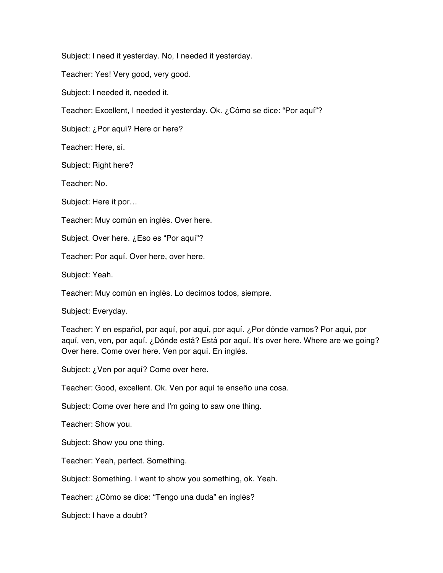Subject: I need it yesterday. No, I needed it yesterday.

Teacher: Yes! Very good, very good.

Subject: I needed it, needed it.

Teacher: Excellent, I needed it yesterday. Ok. ¿Cómo se dice: "Por aquí"?

Subject: ¿Por aquí? Here or here?

Teacher: Here, sí.

Subject: Right here?

Teacher: No.

Subject: Here it por…

Teacher: Muy común en inglés. Over here.

Subject. Over here. ¿Eso es "Por aquí"?

Teacher: Por aquí. Over here, over here.

Subject: Yeah.

Teacher: Muy común en inglés. Lo decimos todos, siempre.

Subject: Everyday.

Teacher: Y en español, por aquí, por aquí, por aquí. ¿Por dónde vamos? Por aquí, por aquí, ven, ven, por aquí. ¿Dónde está? Está por aquí. It's over here. Where are we going? Over here. Come over here. Ven por aquí. En inglés.

Subject: ¿Ven por aquí? Come over here.

Teacher: Good, excellent. Ok. Ven por aquí te enseño una cosa.

Subject: Come over here and I'm going to saw one thing.

Teacher: Show you.

Subject: Show you one thing.

Teacher: Yeah, perfect. Something.

Subject: Something. I want to show you something, ok. Yeah.

Teacher: ¿Cómo se dice: "Tengo una duda" en inglés?

Subject: I have a doubt?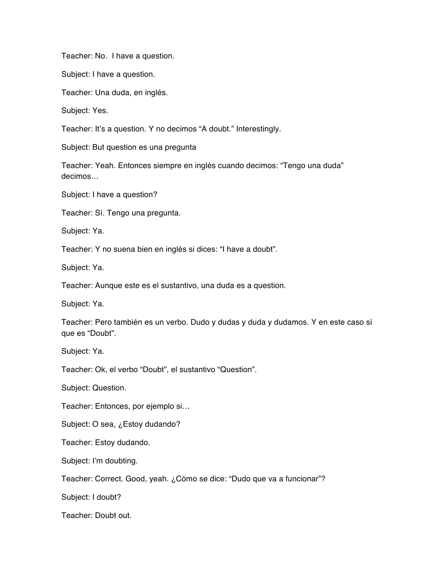Teacher: No. I have a question.

Subject: I have a question.

Teacher: Una duda, en inglés.

Subject: Yes.

Teacher: It's a question. Y no decimos "A doubt." Interestingly.

Subject: But question es una pregunta

Teacher: Yeah. Entonces siempre en inglés cuando decimos: "Tengo una duda" decimos…

Subject: I have a question?

Teacher: Sí. Tengo una pregunta.

Subject: Ya.

Teacher: Y no suena bien en inglés si dices: "I have a doubt".

Subject: Ya.

Teacher: Aunque este es el sustantivo, una duda es a question.

Subject: Ya.

Teacher: Pero también es un verbo. Dudo y dudas y duda y dudamos. Y en este caso sí que es "Doubt".

Subject: Ya.

Teacher: Ok, el verbo "Doubt", el sustantivo "Question".

Subject: Question.

Teacher: Entonces, por ejemplo si…

Subject: O sea, ¿Estoy dudando?

Teacher: Estoy dudando.

Subject: I'm doubting.

Teacher: Correct. Good, yeah. ¿Cómo se dice: "Dudo que va a funcionar"?

Subject: I doubt?

Teacher: Doubt out.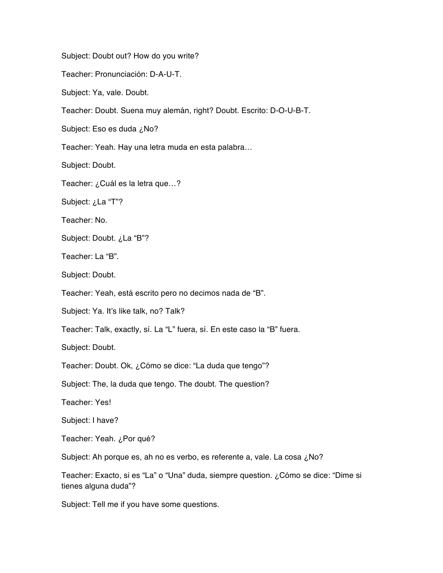Subject: Doubt out? How do you write?

Teacher: Pronunciación: D-A-U-T.

Subject: Ya, vale. Doubt.

Teacher: Doubt. Suena muy alemán, right? Doubt. Escrito: D-O-U-B-T.

Subject: Eso es duda ¿No?

Teacher: Yeah. Hay una letra muda en esta palabra…

Subject: Doubt.

Teacher: ¿Cuál es la letra que…?

Subject: ¿La "T"?

Teacher: No.

Subject: Doubt. ¿La "B"?

Teacher: La "B".

Subject: Doubt.

Teacher: Yeah, está escrito pero no decimos nada de "B".

Subject: Ya. It's like talk, no? Talk?

Teacher: Talk, exactly, sí. La "L" fuera, sí. En este caso la "B" fuera.

Subject: Doubt.

Teacher: Doubt. Ok, ¿Cómo se dice: "La duda que tengo"?

Subject: The, la duda que tengo. The doubt. The question?

Teacher: Yes!

Subject: I have?

Teacher: Yeah. ¿Por qué?

Subject: Ah porque es, ah no es verbo, es referente a, vale. La cosa ¿No?

Teacher: Exacto, si es "La" o "Una" duda, siempre question. ¿Cómo se dice: "Dime si tienes alguna duda"?

Subject: Tell me if you have some questions.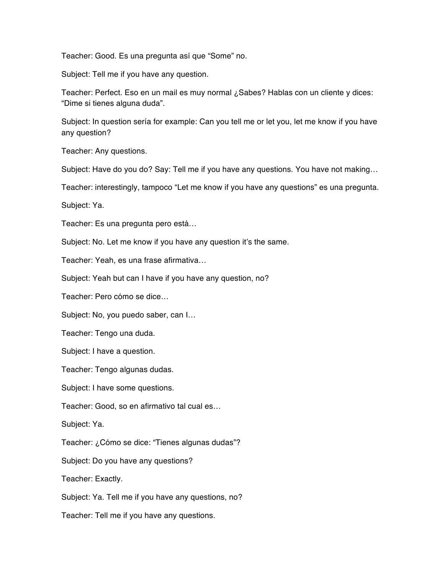Teacher: Good. Es una pregunta así que "Some" no.

Subject: Tell me if you have any question.

Teacher: Perfect. Eso en un mail es muy normal ¿Sabes? Hablas con un cliente y dices: "Dime si tienes alguna duda".

Subject: In question sería for example: Can you tell me or let you, let me know if you have any question?

Teacher: Any questions.

Subject: Have do you do? Say: Tell me if you have any questions. You have not making…

Teacher: interestingly, tampoco "Let me know if you have any questions" es una pregunta.

Subject: Ya.

Teacher: Es una pregunta pero está…

Subject: No. Let me know if you have any question it's the same.

Teacher: Yeah, es una frase afirmativa…

Subject: Yeah but can I have if you have any question, no?

Teacher: Pero cómo se dice…

Subject: No, you puedo saber, can I…

Teacher: Tengo una duda.

Subject: I have a question.

Teacher: Tengo algunas dudas.

Subject: I have some questions.

Teacher: Good, so en afirmativo tal cual es…

Subject: Ya.

Teacher: ¿Cómo se dice: "Tienes algunas dudas"?

Subject: Do you have any questions?

Teacher: Exactly.

Subject: Ya. Tell me if you have any questions, no?

Teacher: Tell me if you have any questions.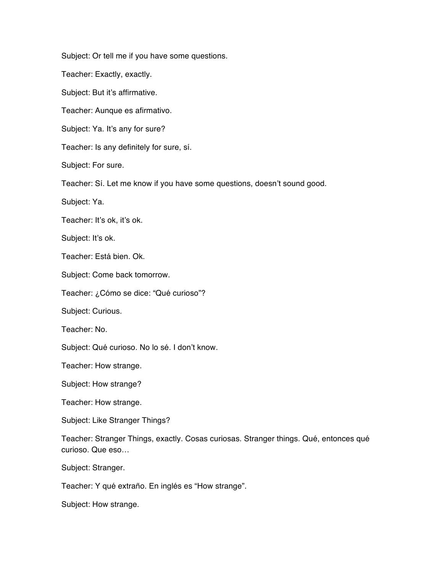Subject: Or tell me if you have some questions.

Teacher: Exactly, exactly.

Subject: But it's affirmative.

Teacher: Aunque es afirmativo.

Subject: Ya. It's any for sure?

Teacher: Is any definitely for sure, sí.

Subject: For sure.

Teacher: Sí. Let me know if you have some questions, doesn't sound good.

Subject: Ya.

Teacher: It's ok, it's ok.

Subject: It's ok.

Teacher: Está bien. Ok.

Subject: Come back tomorrow.

Teacher: ¿Cómo se dice: "Qué curioso"?

Subject: Curious.

Teacher: No.

Subject: Qué curioso. No lo sé. I don't know.

Teacher: How strange.

Subject: How strange?

Teacher: How strange.

Subject: Like Stranger Things?

Teacher: Stranger Things, exactly. Cosas curiosas. Stranger things. Qué, entonces qué curioso. Que eso…

Subject: Stranger.

Teacher: Y qué extraño. En inglés es "How strange".

Subject: How strange.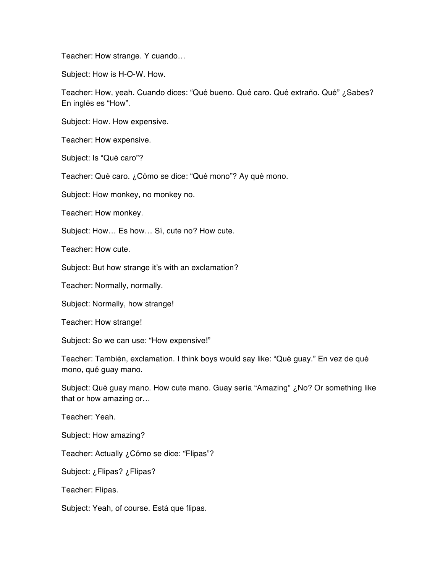Teacher: How strange. Y cuando…

Subject: How is H-O-W. How.

Teacher: How, yeah. Cuando dices: "Qué bueno. Qué caro. Qué extraño. Qué" ¿Sabes? En inglés es "How".

Subject: How. How expensive.

Teacher: How expensive.

Subject: Is "Qué caro"?

Teacher: Qué caro. ¿Cómo se dice: "Qué mono"? Ay qué mono.

Subject: How monkey, no monkey no.

Teacher: How monkey.

Subject: How… Es how… Sí, cute no? How cute.

Teacher: How cute.

Subject: But how strange it's with an exclamation?

Teacher: Normally, normally.

Subject: Normally, how strange!

Teacher: How strange!

Subject: So we can use: "How expensive!"

Teacher: También, exclamation. I think boys would say like: "Qué guay." En vez de qué mono, qué guay mano.

Subject: Qué guay mano. How cute mano. Guay sería "Amazing" ¿No? Or something like that or how amazing or…

Teacher: Yeah.

Subject: How amazing?

Teacher: Actually ¿Cómo se dice: "Flipas"?

Subject: ¿Flipas? ¿Flipas?

Teacher: Flipas.

Subject: Yeah, of course. Está que flipas.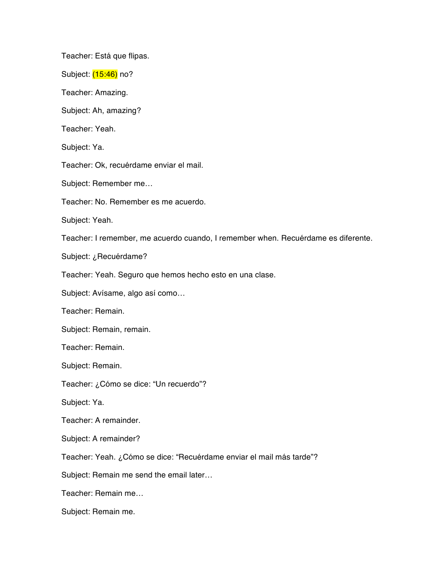Teacher: Está que flipas.

Subject: (15:46) no?

Teacher: Amazing.

Subject: Ah, amazing?

Teacher: Yeah.

Subject: Ya.

Teacher: Ok, recuérdame enviar el mail.

Subject: Remember me…

Teacher: No. Remember es me acuerdo.

Subject: Yeah.

Teacher: I remember, me acuerdo cuando, I remember when. Recuérdame es diferente.

Subject: ¿Recuérdame?

Teacher: Yeah. Seguro que hemos hecho esto en una clase.

Subject: Avísame, algo así como…

Teacher: Remain.

Subject: Remain, remain.

Teacher: Remain.

Subject: Remain.

Teacher: ¿Cómo se dice: "Un recuerdo"?

Subject: Ya.

Teacher: A remainder.

Subject: A remainder?

Teacher: Yeah. ¿Cómo se dice: "Recuérdame enviar el mail más tarde"?

Subject: Remain me send the email later…

Teacher: Remain me…

Subject: Remain me.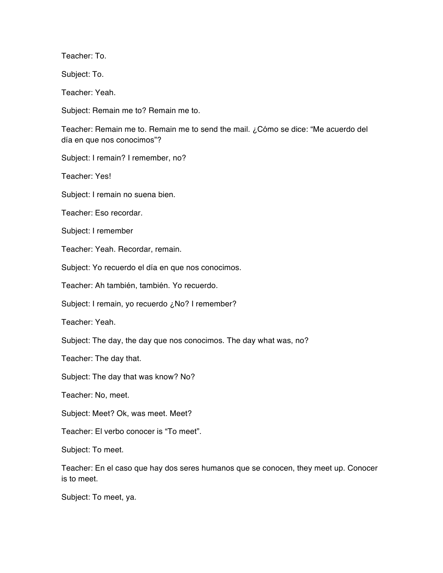Teacher: To.

Subject: To.

Teacher: Yeah.

Subject: Remain me to? Remain me to.

Teacher: Remain me to. Remain me to send the mail. ¿Cómo se dice: "Me acuerdo del día en que nos conocimos"?

Subject: I remain? I remember, no?

Teacher: Yes!

Subject: I remain no suena bien.

Teacher: Eso recordar.

Subject: I remember

Teacher: Yeah. Recordar, remain.

Subject: Yo recuerdo el día en que nos conocimos.

Teacher: Ah también, también. Yo recuerdo.

Subject: I remain, yo recuerdo ¿No? I remember?

Teacher: Yeah.

Subject: The day, the day que nos conocimos. The day what was, no?

Teacher: The day that.

Subject: The day that was know? No?

Teacher: No, meet.

Subject: Meet? Ok, was meet. Meet?

Teacher: El verbo conocer is "To meet".

Subject: To meet.

Teacher: En el caso que hay dos seres humanos que se conocen, they meet up. Conocer is to meet.

Subject: To meet, ya.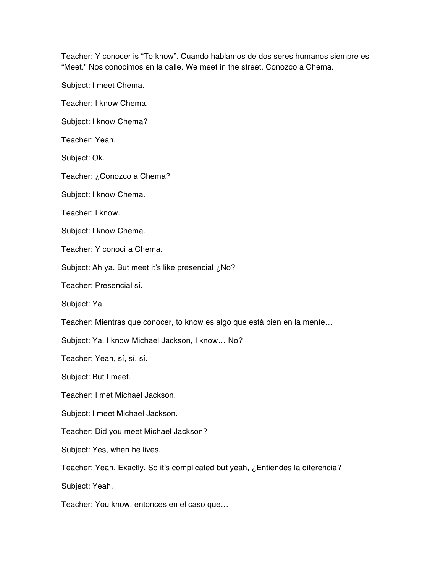Teacher: Y conocer is "To know". Cuando hablamos de dos seres humanos siempre es "Meet." Nos conocimos en la calle. We meet in the street. Conozco a Chema.

Subject: I meet Chema.

Teacher: I know Chema.

Subject: I know Chema?

Teacher: Yeah.

Subject: Ok.

Teacher: ¿Conozco a Chema?

Subject: I know Chema.

Teacher: I know.

Subject: I know Chema.

Teacher: Y conocí a Chema.

Subject: Ah ya. But meet it's like presencial ¿No?

Teacher: Presencial sí.

Subject: Ya.

Teacher: Mientras que conocer, to know es algo que está bien en la mente…

Subject: Ya. I know Michael Jackson, I know… No?

Teacher: Yeah, sí, sí, sí.

Subject: But I meet.

Teacher: I met Michael Jackson.

Subject: I meet Michael Jackson.

Teacher: Did you meet Michael Jackson?

Subject: Yes, when he lives.

Teacher: Yeah. Exactly. So it's complicated but yeah, ¿Entiendes la diferencia?

Subject: Yeah.

Teacher: You know, entonces en el caso que…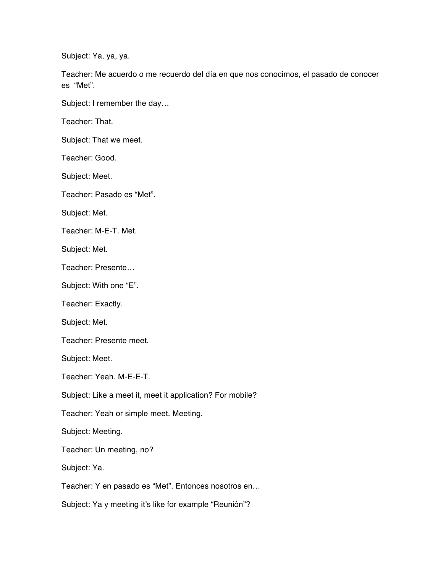Subject: Ya, ya, ya.

Teacher: Me acuerdo o me recuerdo del día en que nos conocimos, el pasado de conocer es "Met".

Subject: I remember the day…

Teacher: That.

Subject: That we meet.

Teacher: Good.

Subject: Meet.

Teacher: Pasado es "Met".

Subject: Met.

Teacher: M-E-T. Met.

Subject: Met.

Teacher: Presente…

Subject: With one "E".

Teacher: Exactly.

Subject: Met.

Teacher: Presente meet.

Subject: Meet.

Teacher: Yeah. M-E-E-T.

Subject: Like a meet it, meet it application? For mobile?

Teacher: Yeah or simple meet. Meeting.

Subject: Meeting.

Teacher: Un meeting, no?

Subject: Ya.

Teacher: Y en pasado es "Met". Entonces nosotros en…

Subject: Ya y meeting it's like for example "Reunión"?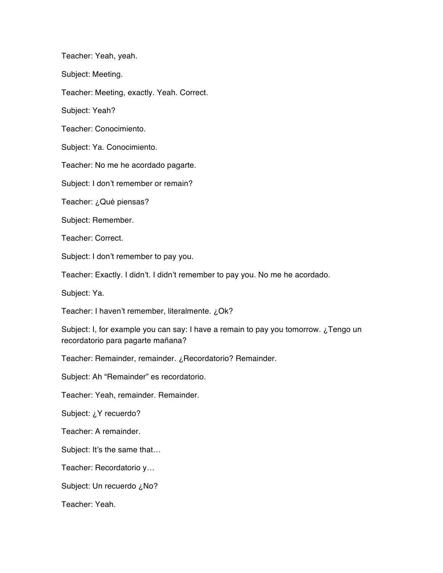Teacher: Yeah, yeah.

Subject: Meeting.

Teacher: Meeting, exactly. Yeah. Correct.

Subject: Yeah?

Teacher: Conocimiento.

Subject: Ya. Conocimiento.

Teacher: No me he acordado pagarte.

Subject: I don't remember or remain?

Teacher: ¿Qué piensas?

Subject: Remember.

Teacher: Correct.

Subject: I don't remember to pay you.

Teacher: Exactly. I didn't. I didn't remember to pay you. No me he acordado.

Subject: Ya.

Teacher: I haven't remember, literalmente. ¿Ok?

Subject: I, for example you can say: I have a remain to pay you tomorrow. ¿Tengo un recordatorio para pagarte mañana?

Teacher: Remainder, remainder. ¿Recordatorio? Remainder.

Subject: Ah "Remainder" es recordatorio.

Teacher: Yeah, remainder. Remainder.

Subject: ¿Y recuerdo?

Teacher: A remainder.

Subject: It's the same that…

Teacher: Recordatorio y…

Subject: Un recuerdo ¿No?

Teacher: Yeah.